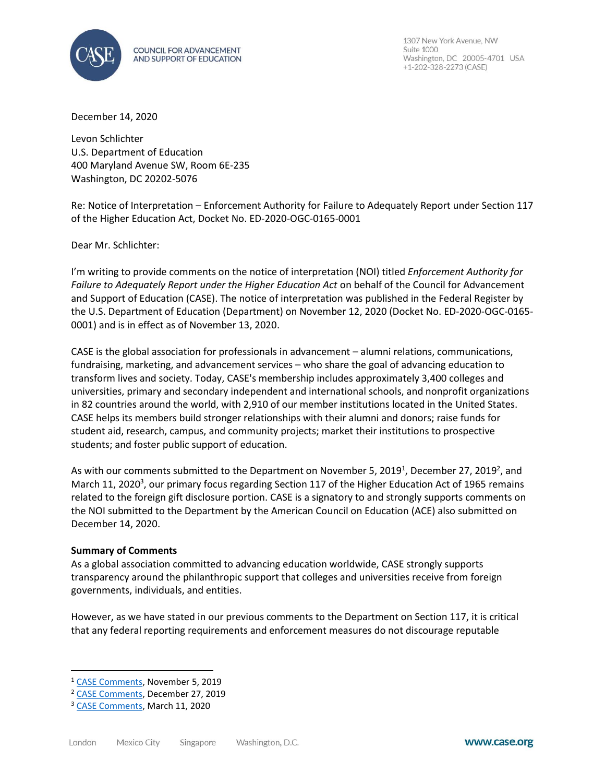

1307 New York Avenue, NW Suite 1000 Washington, DC 20005-4701 USA +1-202-328-2273 (CASE)

December 14, 2020

Levon Schlichter U.S. Department of Education 400 Maryland Avenue SW, Room 6E-235 Washington, DC 20202-5076

Re: Notice of Interpretation – Enforcement Authority for Failure to Adequately Report under Section 117 of the Higher Education Act, Docket No. ED-2020-OGC-0165-0001

Dear Mr. Schlichter:

I'm writing to provide comments on the notice of interpretation (NOI) titled *Enforcement Authority for Failure to Adequately Report under the Higher Education Act* on behalf of the Council for Advancement and Support of Education (CASE). The notice of interpretation was published in the Federal Register by the U.S. Department of Education (Department) on November 12, 2020 (Docket No. ED-2020-OGC-0165- 0001) and is in effect as of November 13, 2020.

CASE is the global association for professionals in advancement – alumni relations, communications, fundraising, marketing, and advancement services – who share the goal of advancing education to transform lives and society. Today, CASE's membership includes approximately 3,400 colleges and universities, primary and secondary independent and international schools, and nonprofit organizations in 82 countries around the world, with 2,910 of our member institutions located in the United States. CASE helps its members build stronger relationships with their alumni and donors; raise funds for student aid, research, campus, and community projects; market their institutions to prospective students; and foster public support of education.

As with our comments submitted to the Department on November 5, 2019<sup>1</sup>, December 27, 2019<sup>2</sup>, and March 11, 2020<sup>3</sup>, our primary focus regarding Section 117 of the Higher Education Act of 1965 remains related to the foreign gift disclosure portion. CASE is a signatory to and strongly supports comments on the NOI submitted to the Department by the American Council on Education (ACE) also submitted on December 14, 2020.

## **Summary of Comments**

As a global association committed to advancing education worldwide, CASE strongly supports transparency around the philanthropic support that colleges and universities receive from foreign governments, individuals, and entities.

However, as we have stated in our previous comments to the Department on Section 117, it is critical that any federal reporting requirements and enforcement measures do not discourage reputable

<sup>1</sup> [CASE Comments,](https://www.case.org/system/files/media/file/CASE%20Comments%20on%20Proposed%20Information%20Collection%20Request%20Docket%20No.%20ED-2019-ICCD-0114.pdf) November 5, 2019

<sup>2</sup> [CASE Comments,](https://www.case.org/system/files/media/file/CASE%20Comments%20on%20Revised%20Information%20Collection%20Request%20Docket%20No.%20ED-2019-ICCD-0154.pdf) December 27, 2019

<sup>&</sup>lt;sup>3</sup> [CASE Comments,](https://beta.regulations.gov/comment/ED-2019-ICCD-0114-0058) March 11, 2020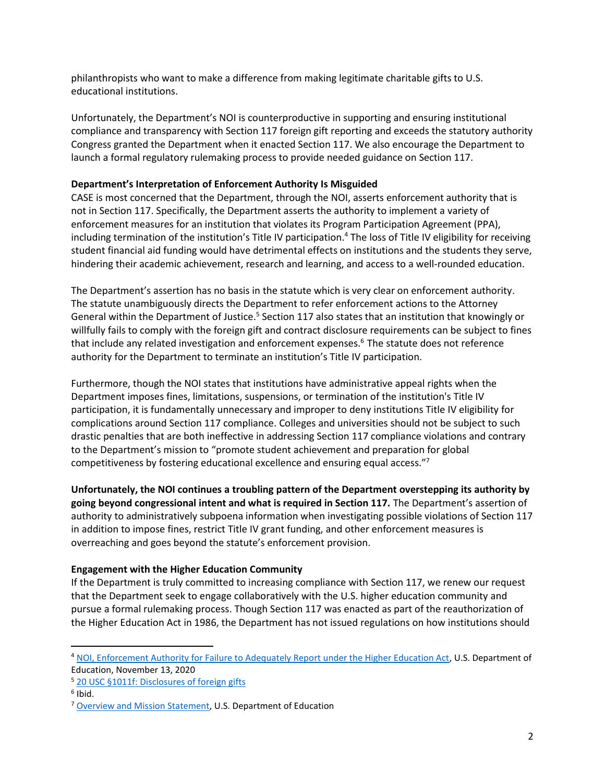philanthropists who want to make a difference from making legitimate charitable gifts to U.S. educational institutions.

Unfortunately, the Department's NOI is counterproductive in supporting and ensuring institutional compliance and transparency with Section 117 foreign gift reporting and exceeds the statutory authority Congress granted the Department when it enacted Section 117. We also encourage the Department to launch a formal regulatory rulemaking process to provide needed guidance on Section 117.

## **Department's Interpretation of Enforcement Authority Is Misguided**

CASE is most concerned that the Department, through the NOI, asserts enforcement authority that is not in Section 117. Specifically, the Department asserts the authority to implement a variety of enforcement measures for an institution that violates its Program Participation Agreement (PPA), including termination of the institution's Title IV participation.<sup>4</sup> The loss of Title IV eligibility for receiving student financial aid funding would have detrimental effects on institutions and the students they serve, hindering their academic achievement, research and learning, and access to a well-rounded education.

The Department's assertion has no basis in the statute which is very clear on enforcement authority. The statute unambiguously directs the Department to refer enforcement actions to the Attorney General within the Department of Justice.<sup>5</sup> Section 117 also states that an institution that knowingly or willfully fails to comply with the foreign gift and contract disclosure requirements can be subject to fines that include any related investigation and enforcement expenses.<sup>6</sup> The statute does not reference authority for the Department to terminate an institution's Title IV participation.

Furthermore, though the NOI states that institutions have administrative appeal rights when the Department imposes fines, limitations, suspensions, or termination of the institution's Title IV participation, it is fundamentally unnecessary and improper to deny institutions Title IV eligibility for complications around Section 117 compliance. Colleges and universities should not be subject to such drastic penalties that are both ineffective in addressing Section 117 compliance violations and contrary to the Department's mission to "promote student achievement and preparation for global competitiveness by fostering educational excellence and ensuring equal access."<sup>7</sup>

**Unfortunately, the NOI continues a troubling pattern of the Department overstepping its authority by going beyond congressional intent and what is required in Section 117.** The Department's assertion of authority to administratively subpoena information when investigating possible violations of Section 117 in addition to impose fines, restrict Title IV grant funding, and other enforcement measures is overreaching and goes beyond the statute's enforcement provision.

## **Engagement with the Higher Education Community**

If the Department is truly committed to increasing compliance with Section 117, we renew our request that the Department seek to engage collaboratively with the U.S. higher education community and pursue a formal rulemaking process. Though Section 117 was enacted as part of the reauthorization of the Higher Education Act in 1986, the Department has not issued regulations on how institutions should

<sup>4</sup> [NOI, Enforcement Authority for Failure to Adequately Report under the Higher Education Act,](https://beta.regulations.gov/document/ED-2020-OGC-0165-0001) U.S. Department of Education, November 13, 2020

<sup>5</sup> [20 USC §1011f: Disclosures of foreign gifts](https://uscode.house.gov/view.xhtml?req=granuleid:USC-prelim-title20-section1011f&num=0&edition=prelim)

<sup>&</sup>lt;sup>6</sup> Ibid.

<sup>&</sup>lt;sup>7</sup> [Overview and Mission Statement,](https://www2.ed.gov/about/landing.jhtml) U.S. Department of Education